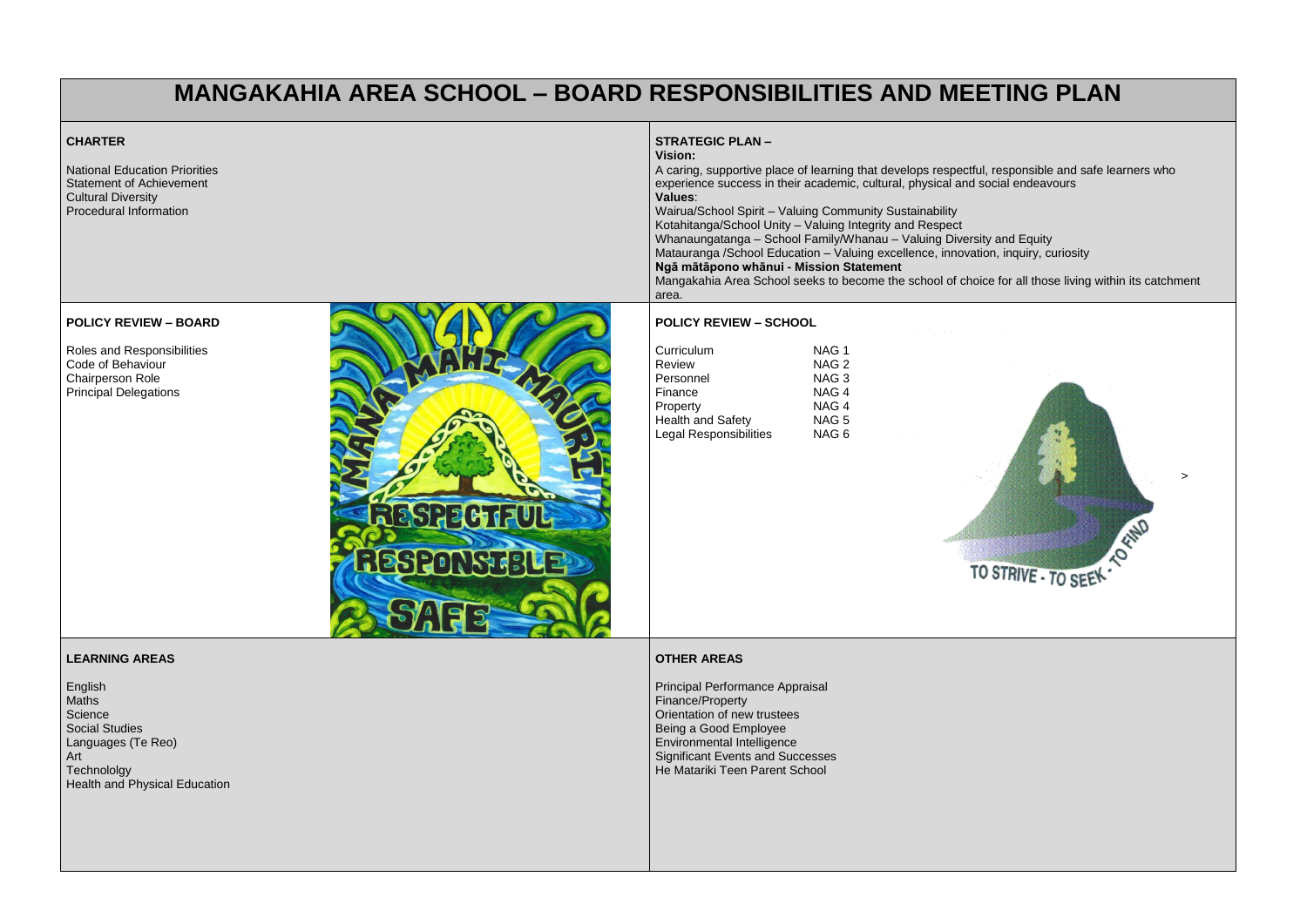# **MANGAKAHIA AREA SCHOOL – BOARD RESPONSIBILITIES AND MEETING PLAN**

## **CHARTER**

National Education Priorities Statement of Achievement Cultural Diversity Procedural Information

### **STRATEGIC PLAN – Vision:**

# A caring, supportive place of learning that develops respectful, responsible and safe learners who

experience success in their academic, cultural, physical and social endeavours **Values**: Wairua/School Spirit – Valuing Community Sustainability Kotahitanga/School Unity – Valuing Integrity and Respect Whanaungatanga – School Family/Whanau – Valuing Diversity and Equity Matauranga /School Education – Valuing excellence, innovation, inquiry, curiosity **Ngā mātāpono whānui - Mission Statement** Mangakahia Area School seeks to become the school of choice for all those living within its catchment area.

### **POLICY REVIEW – BOARD**

Roles and Responsibilities Code of Behaviour Chairperson Role Principal Delegations



### **POLICY REVIEW – SCHOOL**

| Curriculum                    | NAG 1            |
|-------------------------------|------------------|
| <b>Review</b>                 | NAG <sub>2</sub> |
| Personnel                     | NAG <sub>3</sub> |
| Finance                       | NAG <sub>4</sub> |
| Property                      | NAG <sub>4</sub> |
| <b>Health and Safety</b>      | NAG <sub>5</sub> |
| <b>Legal Responsibilities</b> | NAG <sub>6</sub> |



>

### **LEARNING AREAS**

English Maths **Science** Social Studies Languages (Te Reo) Art **Technololgy** Health and Physical Education

### **OTHER AREAS**

Principal Performance Appraisal Finance/Property Orientation of new trustees Being a Good Employee Environmental Intelligence Significant Events and Successes He Matariki Teen Parent School